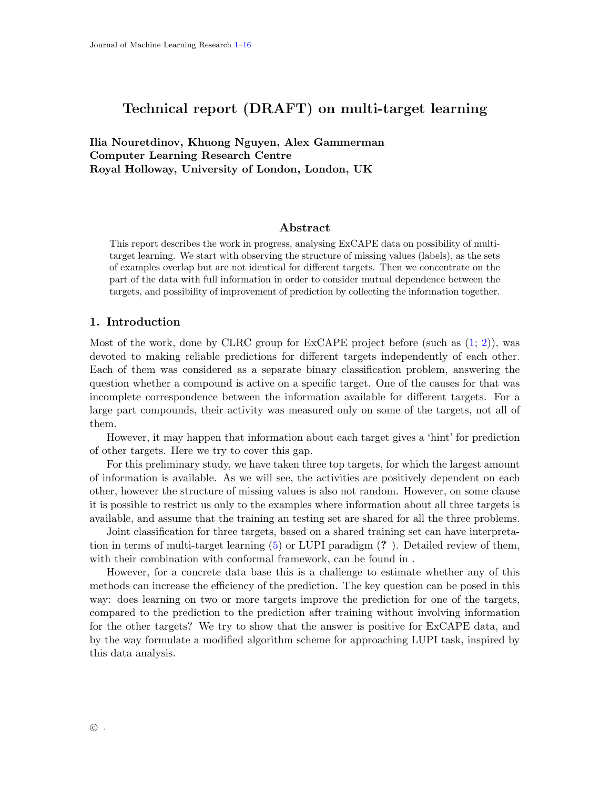# <span id="page-0-0"></span>Technical report (DRAFT) on multi-target learning

Ilia Nouretdinov, Khuong Nguyen, Alex Gammerman Computer Learning Research Centre Royal Holloway, University of London, London, UK

## Abstract

This report describes the work in progress, analysing ExCAPE data on possibility of multitarget learning. We start with observing the structure of missing values (labels), as the sets of examples overlap but are not identical for different targets. Then we concentrate on the part of the data with full information in order to consider mutual dependence between the targets, and possibility of improvement of prediction by collecting the information together.

## 1. Introduction

Most of the work, done by CLRC group for ExCAPE project before (such as [\(1;](#page-13-0) [2\)](#page-13-1)), was devoted to making reliable predictions for different targets independently of each other. Each of them was considered as a separate binary classification problem, answering the question whether a compound is active on a specific target. One of the causes for that was incomplete correspondence between the information available for different targets. For a large part compounds, their activity was measured only on some of the targets, not all of them.

However, it may happen that information about each target gives a 'hint' for prediction of other targets. Here we try to cover this gap.

For this preliminary study, we have taken three top targets, for which the largest amount of information is available. As we will see, the activities are positively dependent on each other, however the structure of missing values is also not random. However, on some clause it is possible to restrict us only to the examples where information about all three targets is available, and assume that the training an testing set are shared for all the three problems.

Joint classification for three targets, based on a shared training set can have interpretation in terms of multi-target learning [\(5\)](#page-13-2) or LUPI paradigm (? ). Detailed review of them, with their combination with conformal framework, can be found in .

However, for a concrete data base this is a challenge to estimate whether any of this methods can increase the efficiency of the prediction. The key question can be posed in this way: does learning on two or more targets improve the prediction for one of the targets, compared to the prediction to the prediction after training without involving information for the other targets? We try to show that the answer is positive for ExCAPE data, and by the way formulate a modified algorithm scheme for approaching LUPI task, inspired by this data analysis.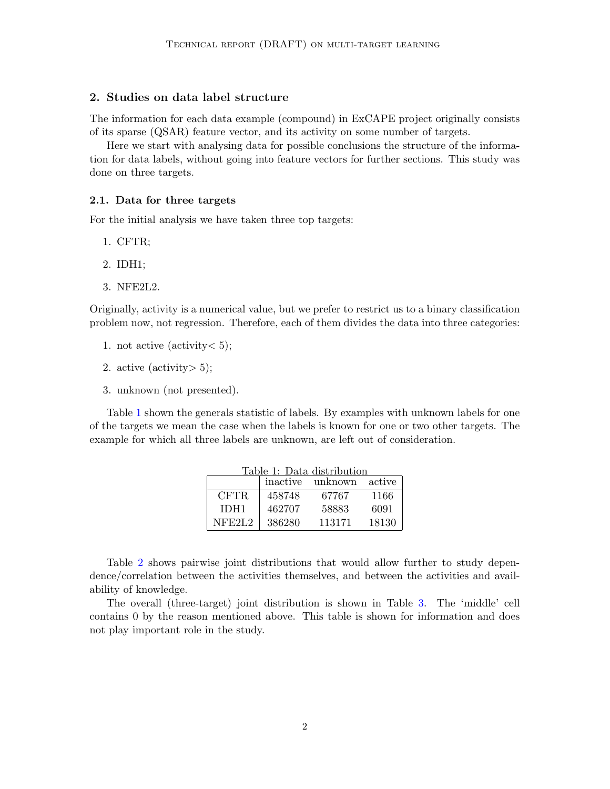## 2. Studies on data label structure

The information for each data example (compound) in ExCAPE project originally consists of its sparse (QSAR) feature vector, and its activity on some number of targets.

Here we start with analysing data for possible conclusions the structure of the information for data labels, without going into feature vectors for further sections. This study was done on three targets.

#### 2.1. Data for three targets

For the initial analysis we have taken three top targets:

- 1. CFTR;
- 2. IDH1;
- 3. NFE2L2.

Originally, activity is a numerical value, but we prefer to restrict us to a binary classification problem now, not regression. Therefore, each of them divides the data into three categories:

- 1. not active (activity  $< 5$ );
- 2. active (activity  $> 5$ );
- 3. unknown (not presented).

<span id="page-1-0"></span>Table [1](#page-1-0) shown the generals statistic of labels. By examples with unknown labels for one of the targets we mean the case when the labels is known for one or two other targets. The example for which all three labels are unknown, are left out of consideration.

| Table 1: Data distribution |                            |        |       |  |  |
|----------------------------|----------------------------|--------|-------|--|--|
|                            | inactive unknown<br>active |        |       |  |  |
| CFTR.                      | 458748                     | 67767  | 1166  |  |  |
| IDH1                       | 462707                     | 58883  | 6091  |  |  |
| NFF2L2                     | 386280                     | 113171 | 18130 |  |  |

Table [2](#page-2-0) shows pairwise joint distributions that would allow further to study dependence/correlation between the activities themselves, and between the activities and availability of knowledge.

The overall (three-target) joint distribution is shown in Table [3.](#page-2-1) The 'middle' cell contains 0 by the reason mentioned above. This table is shown for information and does not play important role in the study.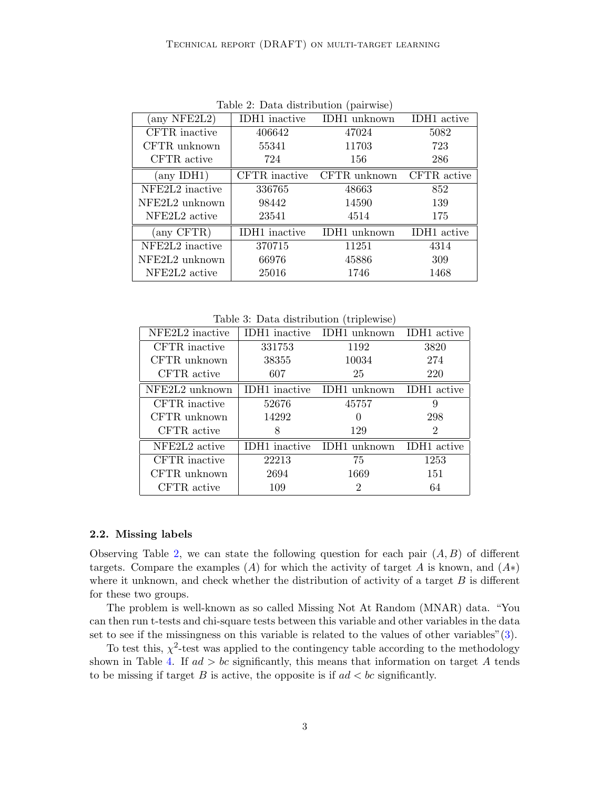<span id="page-2-0"></span>

| $\text{Lipic } \omega$ . Dava distribution (pairwise) |                      |              |                         |  |
|-------------------------------------------------------|----------------------|--------------|-------------------------|--|
| (any NFE2L2)                                          | IDH1 inactive        | IDH1 unknown | IDH1 active             |  |
| CFTR inactive                                         | 406642               | 47024        | 5082                    |  |
| CFTR unknown                                          | 55341                | 11703        | 723                     |  |
| CFTR active                                           | 724                  | 156          | 286                     |  |
| $\langle \text{any IDH1} \rangle$                     | CFTR inactive        | CFTR unknown | CFTR active             |  |
| NFE2L2 inactive                                       | 336765               | 48663        | 852                     |  |
| NFE2L2 unknown                                        | 98442                | 14590        | 139                     |  |
| NFE2L2 active                                         | 23541                | 4514         | 175                     |  |
| (any CFTR)                                            | <b>IDH1</b> inactive | IDH1 unknown | IDH <sub>1</sub> active |  |
| NFE2L2 inactive                                       | 370715               | 11251        | 4314                    |  |
| NFE2L2 unknown                                        | 66976                | 45886        | 309                     |  |
| NFE2L <sub>2</sub> active                             | 25016                | 1746         | 1468                    |  |

Table 2: Data distribution (pairwise)

Table 3: Data distribution (triplewise)

<span id="page-2-1"></span>

| NFE2L <sub>2</sub> inactive | <b>IDH1</b> inactive | IDH1 unknown IDH1 active   |                    |
|-----------------------------|----------------------|----------------------------|--------------------|
| CFTR inactive               | 331753               | 1192                       | 3820               |
| CFTR unknown                | 38355                | 10034                      | 274                |
| CFTR active                 | 607                  | 25                         | 220                |
| NFE2L2 unknown              |                      | IDH1 inactive IDH1 unknown | IDH1 active        |
| CFTR inactive               | 52676                | 45757                      | 9                  |
| CFTR unknown                | 14292                | 0                          | 298                |
| CFTR active                 |                      | 129                        | 2                  |
| NFE2L <sub>2</sub> active   | IDH1 inactive        | IDH1 unknown               | <b>IDH1</b> active |
| CFTR inactive               | 22213                | 75                         | 1253               |
| CFTR unknown                | 2694                 | 1669                       | 151                |
| CFTR active                 | 109                  | 2                          | 64                 |
|                             |                      |                            |                    |

## <span id="page-2-2"></span>2.2. Missing labels

Observing Table [2,](#page-2-0) we can state the following question for each pair  $(A, B)$  of different targets. Compare the examples (A) for which the activity of target A is known, and  $(A*)$ where it unknown, and check whether the distribution of activity of a target  $B$  is different for these two groups.

The problem is well-known as so called Missing Not At Random (MNAR) data. "You can then run t-tests and chi-square tests between this variable and other variables in the data set to see if the missingness on this variable is related to the values of other variables"[\(3\)](#page-13-3).

To test this,  $\chi^2$ -test was applied to the contingency table according to the methodology shown in Table [4.](#page-3-0) If  $ad > bc$  significantly, this means that information on target A tends to be missing if target  $B$  is active, the opposite is if  $ad < bc$  significantly.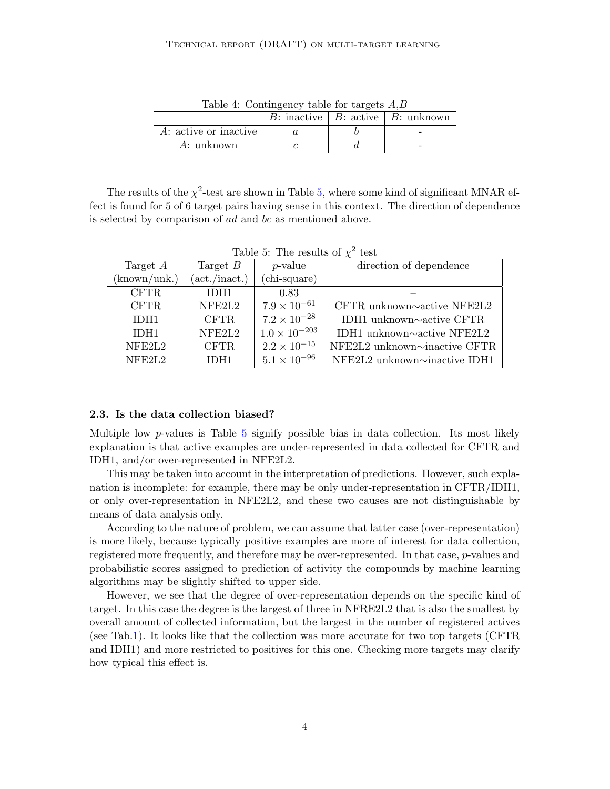<span id="page-3-0"></span>

|                       |  | B: inactive   B: active   B: unknown |
|-----------------------|--|--------------------------------------|
| A: active or inactive |  |                                      |
| A: unknown            |  |                                      |

Table 4: Contingency table for targets A,B

The results of the  $\chi^2$ -test are shown in Table [5,](#page-3-1) where some kind of significant MNAR effect is found for 5 of 6 target pairs having sense in this context. The direction of dependence is selected by comparison of ad and bc as mentioned above.

<span id="page-3-1"></span>

| Target $A$         | Target $B$                    | $p$ -value             | direction of dependence             |
|--------------------|-------------------------------|------------------------|-------------------------------------|
| (known/unk.)       | $(\text{act.}/\text{inact.})$ | (chi-square)           |                                     |
| <b>CFTR</b>        | IDH <sub>1</sub>              | 0.83                   |                                     |
| <b>CFTR</b>        | NFE2L2                        | $7.9 \times 10^{-61}$  | CFTR unknown $\sim$ active NFE2L2   |
| IDH <sub>1</sub>   | <b>CFTR</b>                   | $7.2 \times 10^{-28}$  | IDH1 unknown $\sim$ active CFTR     |
| IDH <sub>1</sub>   | NFE2L2                        | $1.0 \times 10^{-203}$ | IDH1 unknown $\sim$ active NFE2L2   |
| NFE2L <sub>2</sub> | <b>CFTR</b>                   | $2.2 \times 10^{-15}$  | NFE2L2 unknown $\sim$ inactive CFTR |
| NFE2L <sub>2</sub> | IDH <sub>1</sub>              | $5.1 \times 10^{-96}$  | NFE2L2 unknown~inactive IDH1        |

Table 5: The results of  $\chi^2$  test

#### 2.3. Is the data collection biased?

Multiple low p-values is Table [5](#page-3-1) signify possible bias in data collection. Its most likely explanation is that active examples are under-represented in data collected for CFTR and IDH1, and/or over-represented in NFE2L2.

This may be taken into account in the interpretation of predictions. However, such explanation is incomplete: for example, there may be only under-representation in CFTR/IDH1, or only over-representation in NFE2L2, and these two causes are not distinguishable by means of data analysis only.

According to the nature of problem, we can assume that latter case (over-representation) is more likely, because typically positive examples are more of interest for data collection, registered more frequently, and therefore may be over-represented. In that case, *p*-values and probabilistic scores assigned to prediction of activity the compounds by machine learning algorithms may be slightly shifted to upper side.

However, we see that the degree of over-representation depends on the specific kind of target. In this case the degree is the largest of three in NFRE2L2 that is also the smallest by overall amount of collected information, but the largest in the number of registered actives (see Tab[.1\)](#page-1-0). It looks like that the collection was more accurate for two top targets (CFTR and IDH1) and more restricted to positives for this one. Checking more targets may clarify how typical this effect is.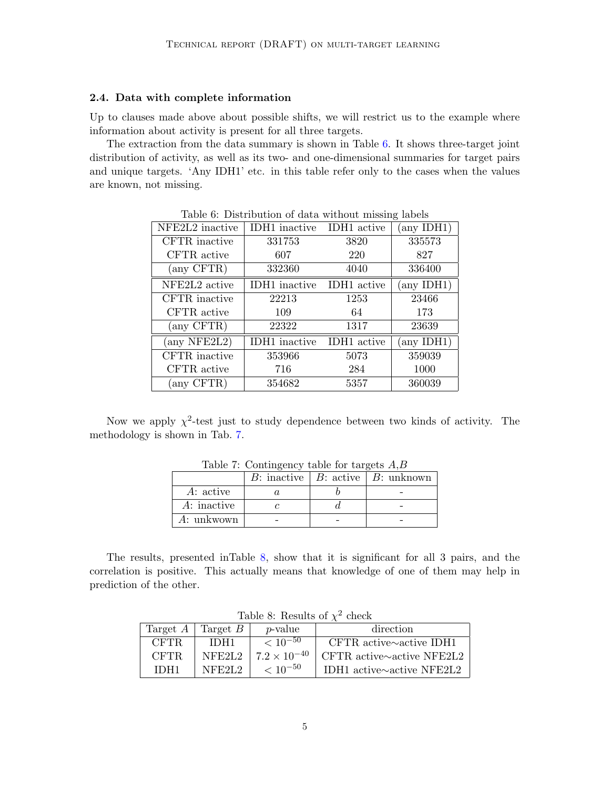## 2.4. Data with complete information

Up to clauses made above about possible shifts, we will restrict us to the example where information about activity is present for all three targets.

<span id="page-4-0"></span>The extraction from the data summary is shown in Table [6.](#page-4-0) It shows three-target joint distribution of activity, as well as its two- and one-dimensional summaries for target pairs and unique targets. 'Any IDH1' etc. in this table refer only to the cases when the values are known, not missing.

| NFE2L2 inactive | <b>IDH1</b> inactive | IDH1 active | $(\text{any IDH1})$ |
|-----------------|----------------------|-------------|---------------------|
| CFTR inactive   | 331753               | 3820        | 335573              |
| CFTR active     | 607                  | 220         | 827                 |
| (any CFTR)      | 332360               | 4040        | 336400              |
| NFE2L2 active   | <b>IDH1</b> inactive | IDH1 active | $(\text{any IDH1})$ |
| CFTR inactive   | 22213                | 1253        | 23466               |
| CFTR active     | 109                  | 64          | 173                 |
| (any CFTR)      | 22322                | 1317        | 23639               |
| any NFE2L2)     | <b>IDH1</b> inactive | IDH1 active | $(\text{any IDH1})$ |
| CFTR inactive   | 353966               | 5073        | 359039              |
| CFTR active     | 716                  | 284         | 1000                |
| (any CFTR)      | 354682               | 5357        | 360039              |

Table 6: Distribution of data without missing labels

<span id="page-4-1"></span>Now we apply  $\chi^2$ -test just to study dependence between two kinds of activity. The methodology is shown in Tab. [7.](#page-4-1)

| rable 1. Contingency table for target 11,D<br>B: inactive   B: active   B: unknown |  |  |  |
|------------------------------------------------------------------------------------|--|--|--|
| A: active                                                                          |  |  |  |
| A: inactive                                                                        |  |  |  |
| A: unkwown                                                                         |  |  |  |

Table 7: Contingency table for targets  $\overline{AB}$ 

<span id="page-4-2"></span>The results, presented inTable [8,](#page-4-2) show that it is significant for all 3 pairs, and the correlation is positive. This actually means that knowledge of one of them may help in prediction of the other.

|             | Target $A$   Target $B$ | <i>p</i> -value       | direction                        |  |  |
|-------------|-------------------------|-----------------------|----------------------------------|--|--|
| <b>CFTR</b> | IDH1                    | $< 10^{-50}$          | CFTR active $\sim$ active IDH1   |  |  |
| <b>CFTR</b> | NFF2L2                  | $7.2 \times 10^{-40}$ | CFTR active $\sim$ active NFE2L2 |  |  |
| IDH1        | NFE2L2                  | $< 10^{-50}$          | IDH1 active $\sim$ active NFE2L2 |  |  |

Table 8: Results of  $\chi^2$  check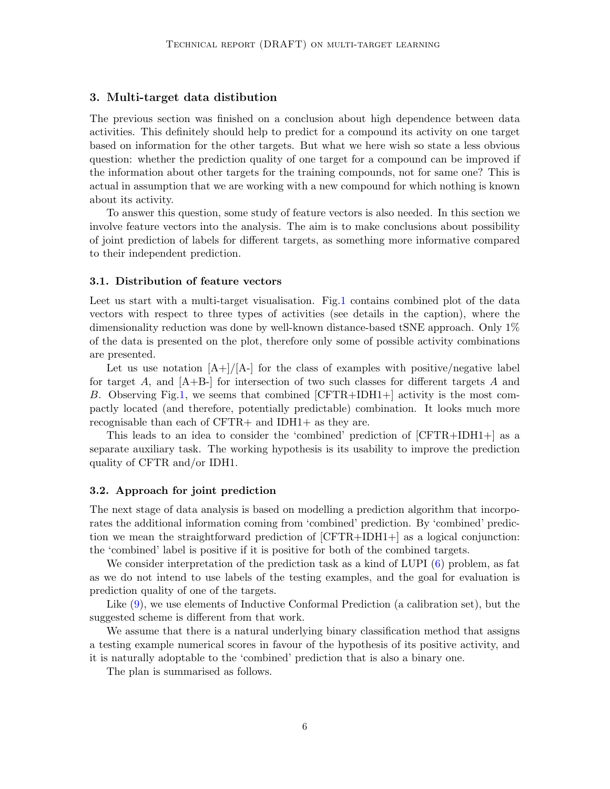## 3. Multi-target data distibution

The previous section was finished on a conclusion about high dependence between data activities. This definitely should help to predict for a compound its activity on one target based on information for the other targets. But what we here wish so state a less obvious question: whether the prediction quality of one target for a compound can be improved if the information about other targets for the training compounds, not for same one? This is actual in assumption that we are working with a new compound for which nothing is known about its activity.

To answer this question, some study of feature vectors is also needed. In this section we involve feature vectors into the analysis. The aim is to make conclusions about possibility of joint prediction of labels for different targets, as something more informative compared to their independent prediction.

#### 3.1. Distribution of feature vectors

Leet us start with a multi-target visualisation. Fig[.1](#page-6-0) contains combined plot of the data vectors with respect to three types of activities (see details in the caption), where the dimensionality reduction was done by well-known distance-based tSNE approach. Only 1% of the data is presented on the plot, therefore only some of possible activity combinations are presented.

Let us use notation  $[A+]/[A-]$  for the class of examples with positive/negative label for target A, and  $[A+B]$  for intersection of two such classes for different targets A and B. Observing Fig[.1,](#page-6-0) we seems that combined [CFTR+IDH1+] activity is the most compactly located (and therefore, potentially predictable) combination. It looks much more recognisable than each of CFTR+ and IDH1+ as they are.

This leads to an idea to consider the 'combined' prediction of [CFTR+IDH1+] as a separate auxiliary task. The working hypothesis is its usability to improve the prediction quality of CFTR and/or IDH1.

#### <span id="page-5-0"></span>3.2. Approach for joint prediction

The next stage of data analysis is based on modelling a prediction algorithm that incorporates the additional information coming from 'combined' prediction. By 'combined' prediction we mean the straightforward prediction of [CFTR+IDH1+] as a logical conjunction: the 'combined' label is positive if it is positive for both of the combined targets.

We consider interpretation of the prediction task as a kind of LUPI  $(6)$  problem, as fat as we do not intend to use labels of the testing examples, and the goal for evaluation is prediction quality of one of the targets.

Like [\(9\)](#page-13-5), we use elements of Inductive Conformal Prediction (a calibration set), but the suggested scheme is different from that work.

We assume that there is a natural underlying binary classification method that assigns a testing example numerical scores in favour of the hypothesis of its positive activity, and it is naturally adoptable to the 'combined' prediction that is also a binary one.

The plan is summarised as follows.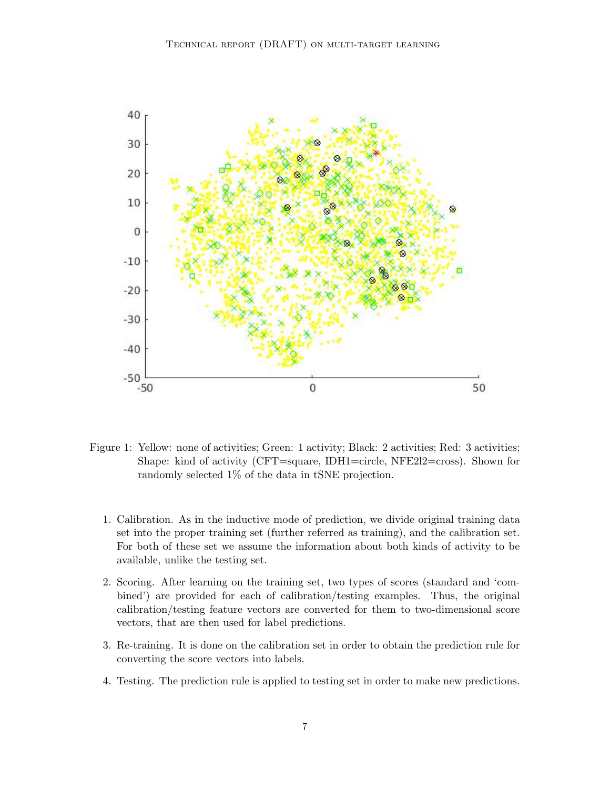

<span id="page-6-0"></span>Figure 1: Yellow: none of activities; Green: 1 activity; Black: 2 activities; Red: 3 activities; Shape: kind of activity (CFT=square, IDH1=circle, NFE2l2=cross). Shown for randomly selected 1% of the data in tSNE projection.

- 1. Calibration. As in the inductive mode of prediction, we divide original training data set into the proper training set (further referred as training), and the calibration set. For both of these set we assume the information about both kinds of activity to be available, unlike the testing set.
- 2. Scoring. After learning on the training set, two types of scores (standard and 'combined') are provided for each of calibration/testing examples. Thus, the original calibration/testing feature vectors are converted for them to two-dimensional score vectors, that are then used for label predictions.
- 3. Re-training. It is done on the calibration set in order to obtain the prediction rule for converting the score vectors into labels.
- 4. Testing. The prediction rule is applied to testing set in order to make new predictions.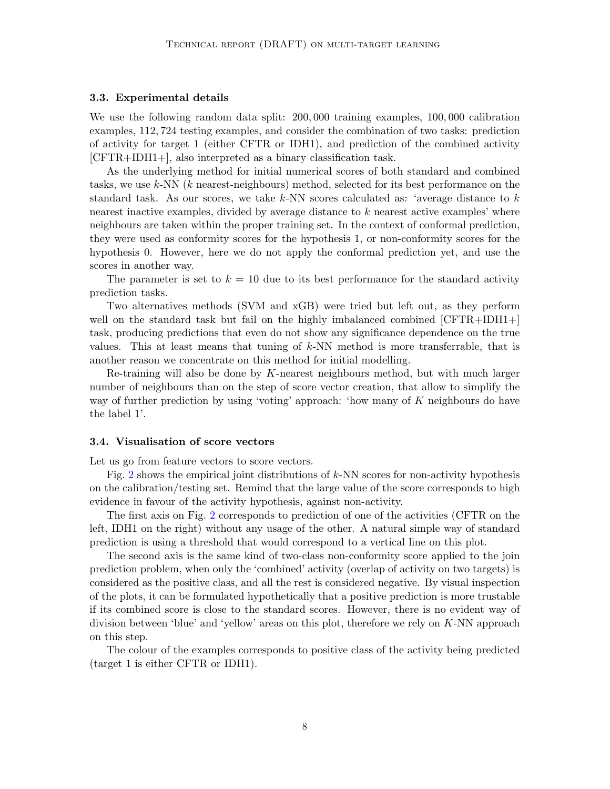#### 3.3. Experimental details

We use the following random data split: 200, 000 training examples, 100, 000 calibration examples, 112, 724 testing examples, and consider the combination of two tasks: prediction of activity for target 1 (either CFTR or IDH1), and prediction of the combined activity [CFTR+IDH1+], also interpreted as a binary classification task.

As the underlying method for initial numerical scores of both standard and combined tasks, we use k-NN (k nearest-neighbours) method, selected for its best performance on the standard task. As our scores, we take  $k$ -NN scores calculated as: 'average distance to k nearest inactive examples, divided by average distance to k nearest active examples' where neighbours are taken within the proper training set. In the context of conformal prediction, they were used as conformity scores for the hypothesis 1, or non-conformity scores for the hypothesis 0. However, here we do not apply the conformal prediction yet, and use the scores in another way.

The parameter is set to  $k = 10$  due to its best performance for the standard activity prediction tasks.

Two alternatives methods (SVM and xGB) were tried but left out, as they perform well on the standard task but fail on the highly imbalanced combined  $[CFTR+IDH1+]$ task, producing predictions that even do not show any significance dependence on the true values. This at least means that tuning of  $k$ -NN method is more transferrable, that is another reason we concentrate on this method for initial modelling.

Re-training will also be done by K-nearest neighbours method, but with much larger number of neighbours than on the step of score vector creation, that allow to simplify the way of further prediction by using 'voting' approach: 'how many of K neighbours do have the label 1'.

#### 3.4. Visualisation of score vectors

Let us go from feature vectors to score vectors.

Fig. [2](#page-8-0) shows the empirical joint distributions of k-NN scores for non-activity hypothesis on the calibration/testing set. Remind that the large value of the score corresponds to high evidence in favour of the activity hypothesis, against non-activity.

The first axis on Fig. [2](#page-8-0) corresponds to prediction of one of the activities (CFTR on the left, IDH1 on the right) without any usage of the other. A natural simple way of standard prediction is using a threshold that would correspond to a vertical line on this plot.

The second axis is the same kind of two-class non-conformity score applied to the join prediction problem, when only the 'combined' activity (overlap of activity on two targets) is considered as the positive class, and all the rest is considered negative. By visual inspection of the plots, it can be formulated hypothetically that a positive prediction is more trustable if its combined score is close to the standard scores. However, there is no evident way of division between 'blue' and 'yellow' areas on this plot, therefore we rely on K-NN approach on this step.

The colour of the examples corresponds to positive class of the activity being predicted (target 1 is either CFTR or IDH1).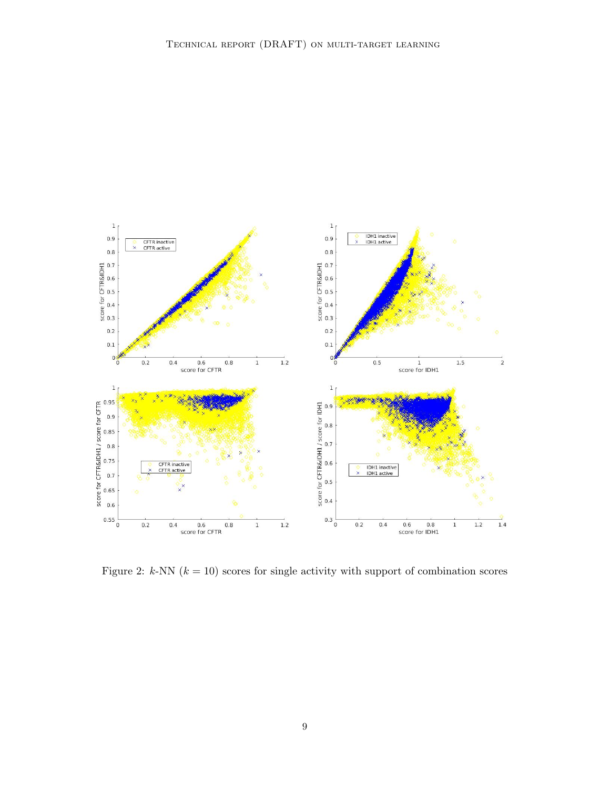

<span id="page-8-0"></span>Figure 2: k-NN  $(k = 10)$  scores for single activity with support of combination scores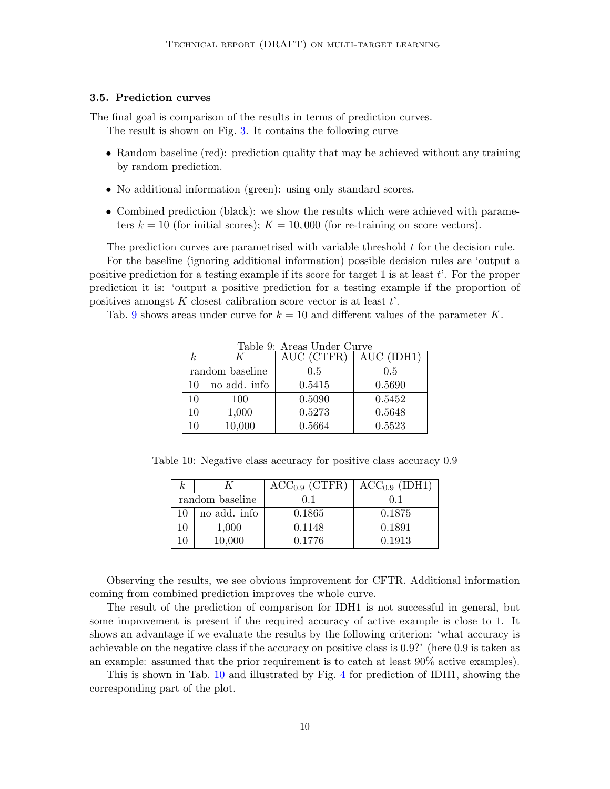## 3.5. Prediction curves

The final goal is comparison of the results in terms of prediction curves.

The result is shown on Fig. [3.](#page-10-0) It contains the following curve

- Random baseline (red): prediction quality that may be achieved without any training by random prediction.
- No additional information (green): using only standard scores.
- Combined prediction (black): we show the results which were achieved with parameters  $k = 10$  (for initial scores);  $K = 10,000$  (for re-training on score vectors).

The prediction curves are parametrised with variable threshold t for the decision rule. For the baseline (ignoring additional information) possible decision rules are 'output a positive prediction for a testing example if its score for target 1 is at least  $t'$ . For the proper prediction it is: 'output a positive prediction for a testing example if the proportion of positives amongst  $K$  closest calibration score vector is at least  $t'$ .

<span id="page-9-0"></span>Tab. [9](#page-9-0) shows areas under curve for  $k = 10$  and different values of the parameter K.

| k <sub>i</sub> | K               | Table 9. Areas Under Ourve<br>AUC (CTFR) | AUC (IDH1) |
|----------------|-----------------|------------------------------------------|------------|
|                | random baseline | 0.5                                      | 0.5        |
| 10             | no add. info    | 0.5415                                   | 0.5690     |
| 10             | 100             | 0.5090                                   | 0.5452     |
| 10             | 1,000           | 0.5273                                   | 0.5648     |
| 10             | 10,000          | 0.5664                                   | 0.5523     |

Table 9: Areas Under Curve

<span id="page-9-1"></span>Table 10: Negative class accuracy for positive class accuracy 0.9

| $\kappa$ |                 | ACC <sub>0.9</sub> (CTFR) | ACC <sub>0.9</sub> (IDH1) |
|----------|-----------------|---------------------------|---------------------------|
|          | random baseline | 0.1                       | 0.1                       |
| 10       | no add. info    | 0.1865                    | 0.1875                    |
| 10       | 1,000           | 0.1148                    | 0.1891                    |
| 10       | 10,000          | 0.1776                    | 0.1913                    |

Observing the results, we see obvious improvement for CFTR. Additional information coming from combined prediction improves the whole curve.

The result of the prediction of comparison for IDH1 is not successful in general, but some improvement is present if the required accuracy of active example is close to 1. It shows an advantage if we evaluate the results by the following criterion: 'what accuracy is achievable on the negative class if the accuracy on positive class is 0.9?' (here 0.9 is taken as an example: assumed that the prior requirement is to catch at least 90% active examples).

This is shown in Tab. [10](#page-9-1) and illustrated by Fig. [4](#page-10-1) for prediction of IDH1, showing the corresponding part of the plot.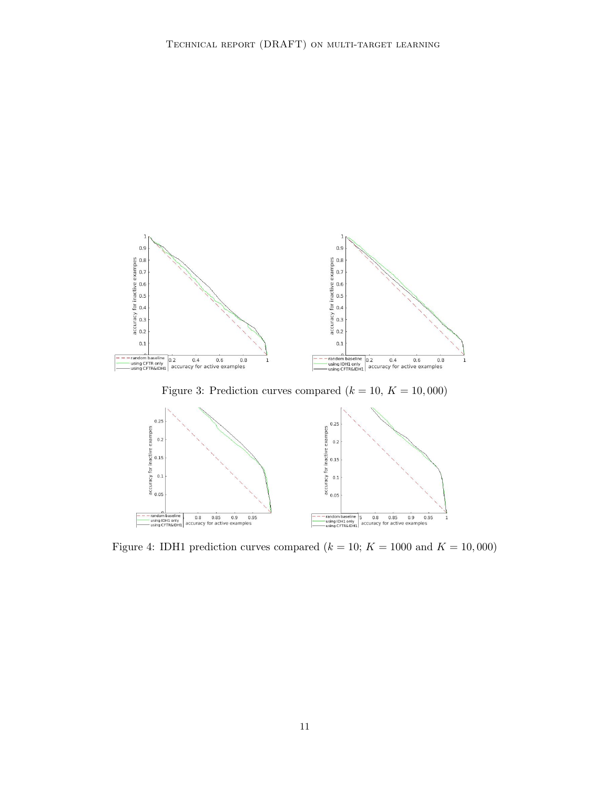

<span id="page-10-1"></span><span id="page-10-0"></span>Figure 3: Prediction curves compared  $(k = 10, K = 10,000)$ 



Figure 4: IDH1 prediction curves compared  $(k = 10; K = 1000$  and  $K = 10,000)$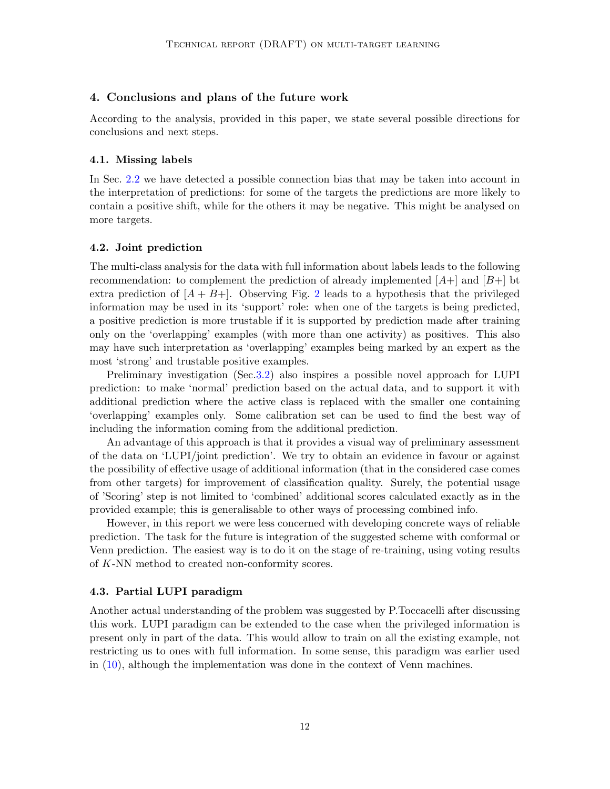## 4. Conclusions and plans of the future work

According to the analysis, provided in this paper, we state several possible directions for conclusions and next steps.

#### 4.1. Missing labels

In Sec. [2.2](#page-2-2) we have detected a possible connection bias that may be taken into account in the interpretation of predictions: for some of the targets the predictions are more likely to contain a positive shift, while for the others it may be negative. This might be analysed on more targets.

#### 4.2. Joint prediction

The multi-class analysis for the data with full information about labels leads to the following recommendation: to complement the prediction of already implemented  $[A+]$  and  $[B+]$  bt extra prediction of  $[A + B+]$ . Observing Fig. [2](#page-8-0) leads to a hypothesis that the privileged information may be used in its 'support' role: when one of the targets is being predicted, a positive prediction is more trustable if it is supported by prediction made after training only on the 'overlapping' examples (with more than one activity) as positives. This also may have such interpretation as 'overlapping' examples being marked by an expert as the most 'strong' and trustable positive examples.

Preliminary investigation (Sec[.3.2\)](#page-5-0) also inspires a possible novel approach for LUPI prediction: to make 'normal' prediction based on the actual data, and to support it with additional prediction where the active class is replaced with the smaller one containing 'overlapping' examples only. Some calibration set can be used to find the best way of including the information coming from the additional prediction.

An advantage of this approach is that it provides a visual way of preliminary assessment of the data on 'LUPI/joint prediction'. We try to obtain an evidence in favour or against the possibility of effective usage of additional information (that in the considered case comes from other targets) for improvement of classification quality. Surely, the potential usage of 'Scoring' step is not limited to 'combined' additional scores calculated exactly as in the provided example; this is generalisable to other ways of processing combined info.

However, in this report we were less concerned with developing concrete ways of reliable prediction. The task for the future is integration of the suggested scheme with conformal or Venn prediction. The easiest way is to do it on the stage of re-training, using voting results of K-NN method to created non-conformity scores.

#### 4.3. Partial LUPI paradigm

Another actual understanding of the problem was suggested by P.Toccacelli after discussing this work. LUPI paradigm can be extended to the case when the privileged information is present only in part of the data. This would allow to train on all the existing example, not restricting us to ones with full information. In some sense, this paradigm was earlier used in  $(10)$ , although the implementation was done in the context of Venn machines.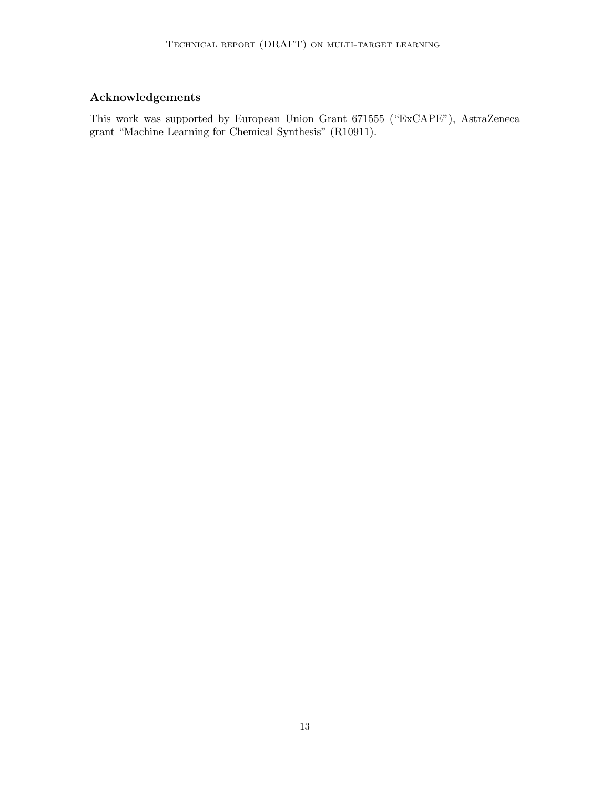# Acknowledgements

This work was supported by European Union Grant 671555 ("ExCAPE"), AstraZeneca grant "Machine Learning for Chemical Synthesis" (R10911).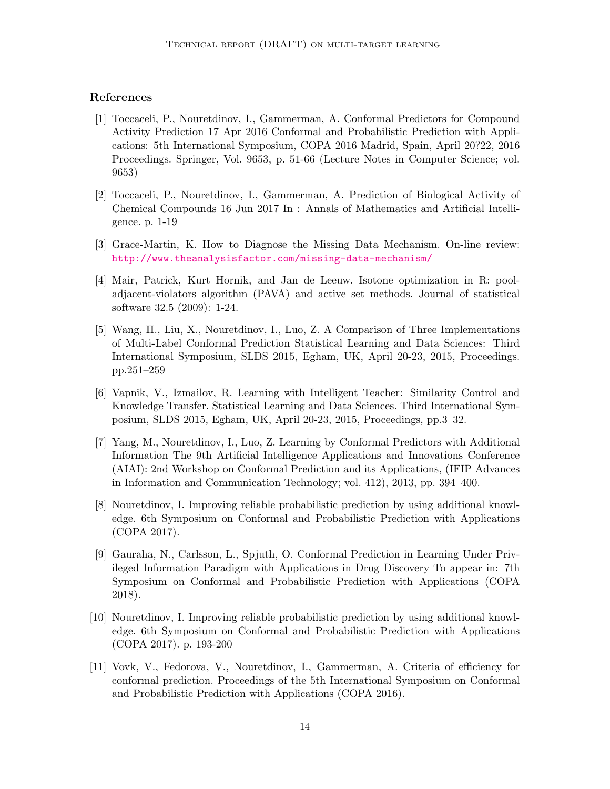## References

- <span id="page-13-0"></span>[1] Toccaceli, P., Nouretdinov, I., Gammerman, A. Conformal Predictors for Compound Activity Prediction 17 Apr 2016 Conformal and Probabilistic Prediction with Applications: 5th International Symposium, COPA 2016 Madrid, Spain, April 20?22, 2016 Proceedings. Springer, Vol. 9653, p. 51-66 (Lecture Notes in Computer Science; vol. 9653)
- <span id="page-13-1"></span>[2] Toccaceli, P., Nouretdinov, I., Gammerman, A. Prediction of Biological Activity of Chemical Compounds 16 Jun 2017 In : Annals of Mathematics and Artificial Intelligence. p. 1-19
- <span id="page-13-3"></span>[3] Grace-Martin, K. How to Diagnose the Missing Data Mechanism. On-line review: <http://www.theanalysisfactor.com/missing-data-mechanism/>
- [4] Mair, Patrick, Kurt Hornik, and Jan de Leeuw. Isotone optimization in R: pooladjacent-violators algorithm (PAVA) and active set methods. Journal of statistical software 32.5 (2009): 1-24.
- <span id="page-13-2"></span>[5] Wang, H., Liu, X., Nouretdinov, I., Luo, Z. A Comparison of Three Implementations of Multi-Label Conformal Prediction Statistical Learning and Data Sciences: Third International Symposium, SLDS 2015, Egham, UK, April 20-23, 2015, Proceedings. pp.251–259
- <span id="page-13-4"></span>[6] Vapnik, V., Izmailov, R. Learning with Intelligent Teacher: Similarity Control and Knowledge Transfer. Statistical Learning and Data Sciences. Third International Symposium, SLDS 2015, Egham, UK, April 20-23, 2015, Proceedings, pp.3–32.
- <span id="page-13-8"></span>[7] Yang, M., Nouretdinov, I., Luo, Z. Learning by Conformal Predictors with Additional Information The 9th Artificial Intelligence Applications and Innovations Conference (AIAI): 2nd Workshop on Conformal Prediction and its Applications, (IFIP Advances in Information and Communication Technology; vol. 412), 2013, pp. 394–400.
- <span id="page-13-9"></span>[8] Nouretdinov, I. Improving reliable probabilistic prediction by using additional knowledge. 6th Symposium on Conformal and Probabilistic Prediction with Applications (COPA 2017).
- <span id="page-13-5"></span>[9] Gauraha, N., Carlsson, L., Spjuth, O. Conformal Prediction in Learning Under Privileged Information Paradigm with Applications in Drug Discovery To appear in: 7th Symposium on Conformal and Probabilistic Prediction with Applications (COPA 2018).
- <span id="page-13-6"></span>[10] Nouretdinov, I. Improving reliable probabilistic prediction by using additional knowledge. 6th Symposium on Conformal and Probabilistic Prediction with Applications (COPA 2017). p. 193-200
- <span id="page-13-7"></span>[11] Vovk, V., Fedorova, V., Nouretdinov, I., Gammerman, A. Criteria of efficiency for conformal prediction. Proceedings of the 5th International Symposium on Conformal and Probabilistic Prediction with Applications (COPA 2016).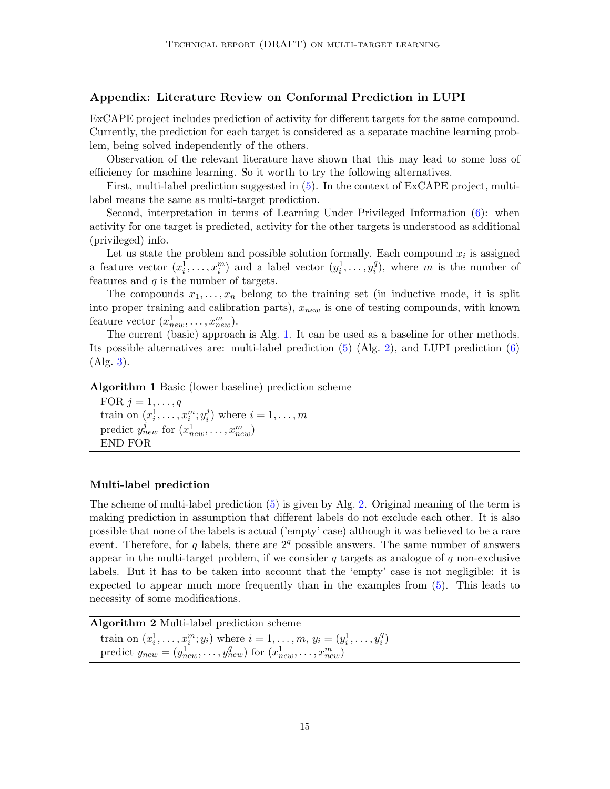## Appendix: Literature Review on Conformal Prediction in LUPI

ExCAPE project includes prediction of activity for different targets for the same compound. Currently, the prediction for each target is considered as a separate machine learning problem, being solved independently of the others.

Observation of the relevant literature have shown that this may lead to some loss of efficiency for machine learning. So it worth to try the following alternatives.

First, multi-label prediction suggested in [\(5\)](#page-13-2). In the context of ExCAPE project, multilabel means the same as multi-target prediction.

Second, interpretation in terms of Learning Under Privileged Information [\(6\)](#page-13-4): when activity for one target is predicted, activity for the other targets is understood as additional (privileged) info.

Let us state the problem and possible solution formally. Each compound  $x_i$  is assigned a feature vector  $(x_i^1, \ldots, x_i^m)$  and a label vector  $(y_i^1, \ldots, y_i^q)$  $i<sup>q</sup>$ ), where m is the number of features and  $q$  is the number of targets.

The compounds  $x_1, \ldots, x_n$  belong to the training set (in inductive mode, it is split into proper training and calibration parts),  $x_{new}$  is one of testing compounds, with known feature vector  $(x_{new}^1, \ldots, x_{new}^m)$ .

The current (basic) approach is Alg. [1.](#page-14-0) It can be used as a baseline for other methods. Its possible alternatives are: multi-label prediction [\(5\)](#page-13-2) (Alg. [2\)](#page-14-1), and LUPI prediction [\(6\)](#page-13-4) (Alg. [3\)](#page-15-1).

Algorithm 1 Basic (lower baseline) prediction scheme

<span id="page-14-0"></span>FOR  $j = 1, \ldots, q$ train on  $(x_i^1, \ldots, x_i^m; y_i^j)$  $i$ ) where  $i = 1, \ldots, m$ predict  $y_{new}^j$  for  $(x_{new}^1, \ldots, x_{new}^m)$ END FOR

## Multi-label prediction

The scheme of multi-label prediction [\(5\)](#page-13-2) is given by Alg. [2.](#page-14-1) Original meaning of the term is making prediction in assumption that different labels do not exclude each other. It is also possible that none of the labels is actual ('empty' case) although it was believed to be a rare event. Therefore, for q labels, there are  $2<sup>q</sup>$  possible answers. The same number of answers appear in the multi-target problem, if we consider  $q$  targets as analogue of  $q$  non-exclusive labels. But it has to be taken into account that the 'empty' case is not negligible: it is expected to appear much more frequently than in the examples from [\(5\)](#page-13-2). This leads to necessity of some modifications.

Algorithm 2 Multi-label prediction scheme

<span id="page-14-1"></span>train on  $(x_i^1, \ldots, x_i^m; y_i)$  where  $i = 1, \ldots, m$ ,  $y_i = (y_i^1, \ldots, y_i^q)$  $\binom{q}{i}$ predict  $y_{new} = (y_{new}^1, \ldots, y_{new}^q)$  for  $(x_{new}^1, \ldots, x_{new}^m)$